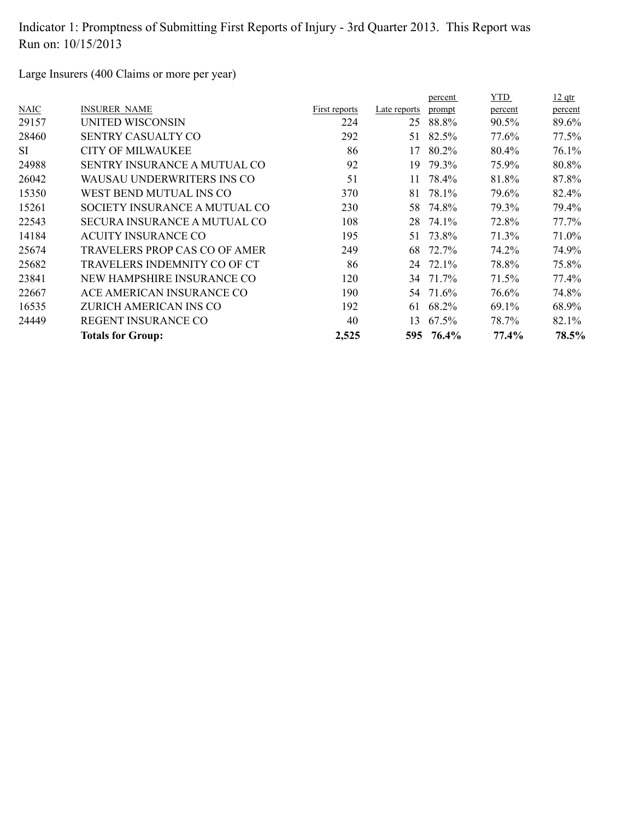Large Insurers (400 Claims or more per year)

|             |                                     |               |              | percent | YTD.    | $12$ qtr |
|-------------|-------------------------------------|---------------|--------------|---------|---------|----------|
| <b>NAIC</b> | <b>INSURER NAME</b>                 | First reports | Late reports | prompt  | percent | percent  |
| 29157       | UNITED WISCONSIN                    | 224           | 25           | 88.8%   | 90.5%   | 89.6%    |
| 28460       | <b>SENTRY CASUALTY CO</b>           | 292           | 51           | 82.5%   | 77.6%   | 77.5%    |
| <b>SI</b>   | <b>CITY OF MILWAUKEE</b>            | 86            | 17           | 80.2%   | 80.4%   | 76.1%    |
| 24988       | <b>SENTRY INSURANCE A MUTUAL CO</b> | 92            | 19           | 79.3%   | 75.9%   | 80.8%    |
| 26042       | WAUSAU UNDERWRITERS INS CO          | 51            | 11           | 78.4%   | 81.8%   | 87.8%    |
| 15350       | WEST BEND MUTUAL INS CO             | 370           | 81           | 78.1%   | 79.6%   | 82.4%    |
| 15261       | SOCIETY INSURANCE A MUTUAL CO       | 230           | 58           | 74.8%   | 79.3%   | 79.4%    |
| 22543       | SECURA INSURANCE A MUTUAL CO        | 108           | 28           | 74.1%   | 72.8%   | 77.7%    |
| 14184       | <b>ACUITY INSURANCE CO</b>          | 195           | 51           | 73.8%   | 71.3%   | 71.0%    |
| 25674       | TRAVELERS PROP CAS CO OF AMER       | 249           | 68           | 72.7%   | 74.2%   | 74.9%    |
| 25682       | TRAVELERS INDEMNITY CO OF CT        | 86            | 24           | 72.1%   | 78.8%   | 75.8%    |
| 23841       | NEW HAMPSHIRE INSURANCE CO          | 120           | 34           | 71.7%   | 71.5%   | 77.4%    |
| 22667       | ACE AMERICAN INSURANCE CO           | 190           | 54           | 71.6%   | 76.6%   | 74.8%    |
| 16535       | ZURICH AMERICAN INS CO              | 192           | 61           | 68.2%   | 69.1%   | 68.9%    |
| 24449       | <b>REGENT INSURANCE CO</b>          | 40            | 13           | 67.5%   | 78.7%   | 82.1%    |
|             | <b>Totals for Group:</b>            | 2,525         | 595          | 76.4%   | 77.4%   | 78.5%    |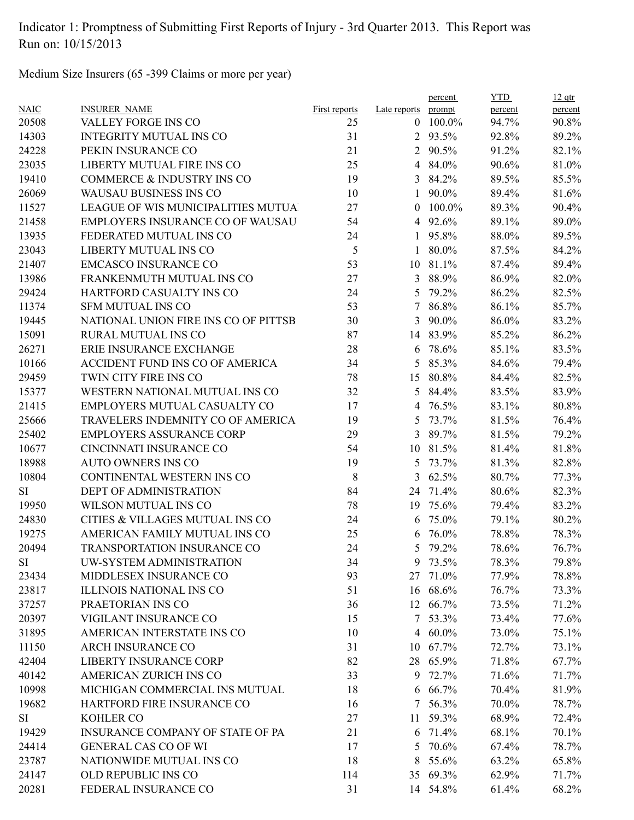Medium Size Insurers (65 -399 Claims or more per year)

|             |                                         |               |                | percent         | <b>YTD</b> | $12$ qtr |
|-------------|-----------------------------------------|---------------|----------------|-----------------|------------|----------|
| <b>NAIC</b> | <b>INSURER NAME</b>                     | First reports | Late reports   | prompt          | percent    | percent  |
| 20508       | VALLEY FORGE INS CO                     | 25            |                | $0$ 100.0%      | 94.7%      | 90.8%    |
| 14303       | <b>INTEGRITY MUTUAL INS CO</b>          | 31            |                | 2 93.5%         | 92.8%      | 89.2%    |
| 24228       | PEKIN INSURANCE CO                      | 21            | $\overline{2}$ | 90.5%           | 91.2%      | 82.1%    |
| 23035       | LIBERTY MUTUAL FIRE INS CO              | 25            |                | 4 84.0%         | 90.6%      | 81.0%    |
| 19410       | COMMERCE & INDUSTRY INS CO              | 19            | 3              | 84.2%           | 89.5%      | 85.5%    |
| 26069       | WAUSAU BUSINESS INS CO                  | 10            | $\mathbf{1}$   | 90.0%           | 89.4%      | 81.6%    |
| 11527       | LEAGUE OF WIS MUNICIPALITIES MUTUA      | 27            | $\theta$       | 100.0%          | 89.3%      | 90.4%    |
| 21458       | <b>EMPLOYERS INSURANCE CO OF WAUSAU</b> | 54            |                | 4 92.6%         | 89.1%      | 89.0%    |
| 13935       | FEDERATED MUTUAL INS CO                 | 24            | $\mathbf{1}$   | 95.8%           | 88.0%      | 89.5%    |
| 23043       | LIBERTY MUTUAL INS CO                   | 5             | 1              | 80.0%           | 87.5%      | 84.2%    |
| 21407       | <b>EMCASCO INSURANCE CO</b>             | 53            | 10             | 81.1%           | 87.4%      | 89.4%    |
| 13986       | FRANKENMUTH MUTUAL INS CO               | 27            | 3              | 88.9%           | 86.9%      | 82.0%    |
| 29424       | HARTFORD CASUALTY INS CO                | 24            | 5              | 79.2%           | 86.2%      | 82.5%    |
| 11374       | <b>SFM MUTUAL INS CO</b>                | 53            | 7              | 86.8%           | 86.1%      | 85.7%    |
| 19445       | NATIONAL UNION FIRE INS CO OF PITTSB    | 30            | 3              | 90.0%           | 86.0%      | 83.2%    |
| 15091       | RURAL MUTUAL INS CO                     | 87            | 14             | 83.9%           | 85.2%      | 86.2%    |
| 26271       | ERIE INSURANCE EXCHANGE                 | 28            | 6              | 78.6%           | 85.1%      | 83.5%    |
| 10166       | ACCIDENT FUND INS CO OF AMERICA         | 34            | 5              | 85.3%           | 84.6%      | 79.4%    |
| 29459       | TWIN CITY FIRE INS CO                   | 78            | 15             | 80.8%           | 84.4%      | 82.5%    |
| 15377       | WESTERN NATIONAL MUTUAL INS CO          | 32            | 5              | 84.4%           | 83.5%      | 83.9%    |
| 21415       | EMPLOYERS MUTUAL CASUALTY CO            | 17            | $\overline{4}$ | 76.5%           | 83.1%      | 80.8%    |
| 25666       | TRAVELERS INDEMNITY CO OF AMERICA       | 19            | 5              | 73.7%           | 81.5%      | 76.4%    |
| 25402       | <b>EMPLOYERS ASSURANCE CORP</b>         | 29            | $\mathfrak{Z}$ | 89.7%           | 81.5%      | 79.2%    |
| 10677       | CINCINNATI INSURANCE CO                 | 54            | 10             | 81.5%           | 81.4%      | 81.8%    |
| 18988       | <b>AUTO OWNERS INS CO</b>               | 19            | 5              | 73.7%           | 81.3%      | 82.8%    |
| 10804       | CONTINENTAL WESTERN INS CO              | 8             | 3              | 62.5%           | 80.7%      | 77.3%    |
| SI          | DEPT OF ADMINISTRATION                  | 84            |                | 24 71.4%        | 80.6%      | 82.3%    |
| 19950       | WILSON MUTUAL INS CO                    | 78            | 19             | 75.6%           | 79.4%      | 83.2%    |
| 24830       | CITIES & VILLAGES MUTUAL INS CO         | 24            | 6              | 75.0%           | 79.1%      | 80.2%    |
| 19275       | AMERICAN FAMILY MUTUAL INS CO           | 25            | 6              | 76.0%           | 78.8%      | 78.3%    |
| 20494       | <b>TRANSPORTATION INSURANCE CO</b>      | 24            | 5.             | 79.2%           | 78.6%      | 76.7%    |
| SI          | UW-SYSTEM ADMINISTRATION                | 34            |                | 9 73.5%         | 78.3%      | 79.8%    |
| 23434       | MIDDLESEX INSURANCE CO                  | 93            |                | 27 71.0%        | 77.9%      | 78.8%    |
| 23817       | <b>ILLINOIS NATIONAL INS CO</b>         | 51            |                | 16 68.6%        | 76.7%      | 73.3%    |
| 37257       | PRAETORIAN INS CO                       | 36            | 12             | 66.7%           | 73.5%      | 71.2%    |
| 20397       | VIGILANT INSURANCE CO                   | 15            |                | 7 53.3%         | 73.4%      | 77.6%    |
| 31895       | AMERICAN INTERSTATE INS CO              | 10            |                | 4 $60.0\%$      | 73.0%      | 75.1%    |
| 11150       | <b>ARCH INSURANCE CO</b>                | 31            |                | 10 67.7%        | 72.7%      | 73.1%    |
| 42404       | <b>LIBERTY INSURANCE CORP</b>           | 82            |                | 28 65.9%        | 71.8%      | 67.7%    |
| 40142       | AMERICAN ZURICH INS CO                  | 33            |                | 9 72.7%         | 71.6%      | 71.7%    |
| 10998       | MICHIGAN COMMERCIAL INS MUTUAL          | 18            |                | $6\quad 66.7\%$ | 70.4%      | 81.9%    |
| 19682       | HARTFORD FIRE INSURANCE CO              | 16            | 7              | 56.3%           | 70.0%      | 78.7%    |
| SI          | <b>KOHLER CO</b>                        | 27            | 11             | 59.3%           | 68.9%      | 72.4%    |
| 19429       | INSURANCE COMPANY OF STATE OF PA        | 21            |                | 6 71.4%         | 68.1%      | 70.1%    |
| 24414       | <b>GENERAL CAS CO OF WI</b>             | 17            | 5              | 70.6%           | 67.4%      | 78.7%    |
| 23787       | NATIONWIDE MUTUAL INS CO                | 18            | 8              | 55.6%           | 63.2%      | 65.8%    |
| 24147       | OLD REPUBLIC INS CO                     | 114           |                | 35 69.3%        | 62.9%      | 71.7%    |
| 20281       | FEDERAL INSURANCE CO                    | 31            |                | 14 54.8%        | 61.4%      | 68.2%    |
|             |                                         |               |                |                 |            |          |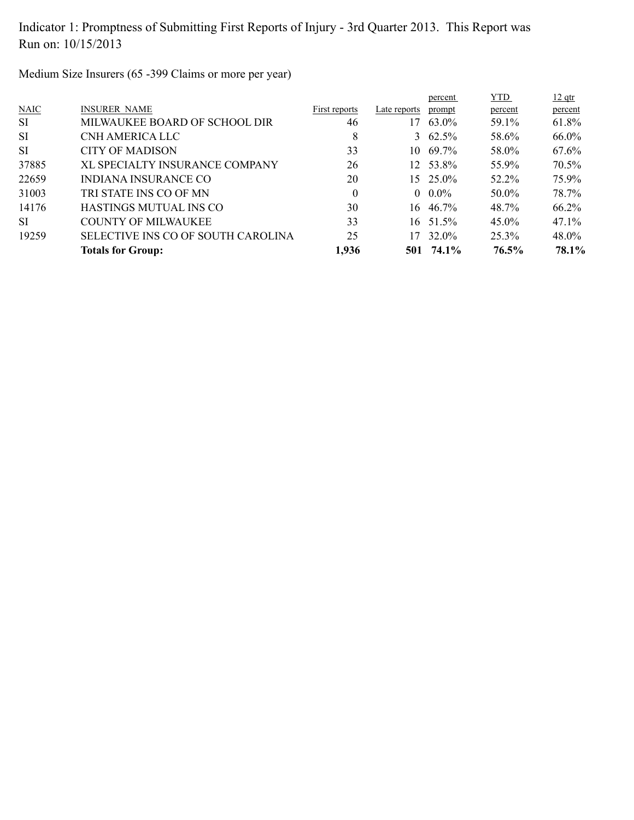Medium Size Insurers (65 -399 Claims or more per year)

|             |                                    |               |              | percent           | <b>YTD</b> | $12$ qtr |
|-------------|------------------------------------|---------------|--------------|-------------------|------------|----------|
| <b>NAIC</b> | <b>INSURER NAME</b>                | First reports | Late reports | prompt            | percent    | percent  |
| <b>SI</b>   | MILWAUKEE BOARD OF SCHOOL DIR      | 46            | 17           | 63.0%             | 59.1%      | 61.8%    |
| <b>SI</b>   | CNH AMERICA LLC                    | 8             |              | 3 $62.5\%$        | 58.6%      | 66.0%    |
| <b>SI</b>   | <b>CITY OF MADISON</b>             | 33            |              | $10, 69.7\%$      | 58.0%      | $67.6\%$ |
| 37885       | XL SPECIALTY INSURANCE COMPANY     | 26            |              | 12 53.8%          | 55.9%      | 70.5%    |
| 22659       | <b>INDIANA INSURANCE CO</b>        | 20            |              | $15 \quad 25.0\%$ | 52.2%      | 75.9%    |
| 31003       | TRI STATE INS CO OF MN             | 0             |              | $0.0\%$           | 50.0%      | 78.7%    |
| 14176       | HASTINGS MUTUAL INS CO             | 30            | 16.          | 46.7%             | 48.7%      | 66.2%    |
| SI.         | <b>COUNTY OF MILWAUKEE</b>         | 33            |              | 16 51.5%          | $45.0\%$   | $47.1\%$ |
| 19259       | SELECTIVE INS CO OF SOUTH CAROLINA | 25            | 17           | 32.0%             | $25.3\%$   | $48.0\%$ |
|             | <b>Totals for Group:</b>           | 1,936         |              | 501 74.1%         | 76.5%      | 78.1%    |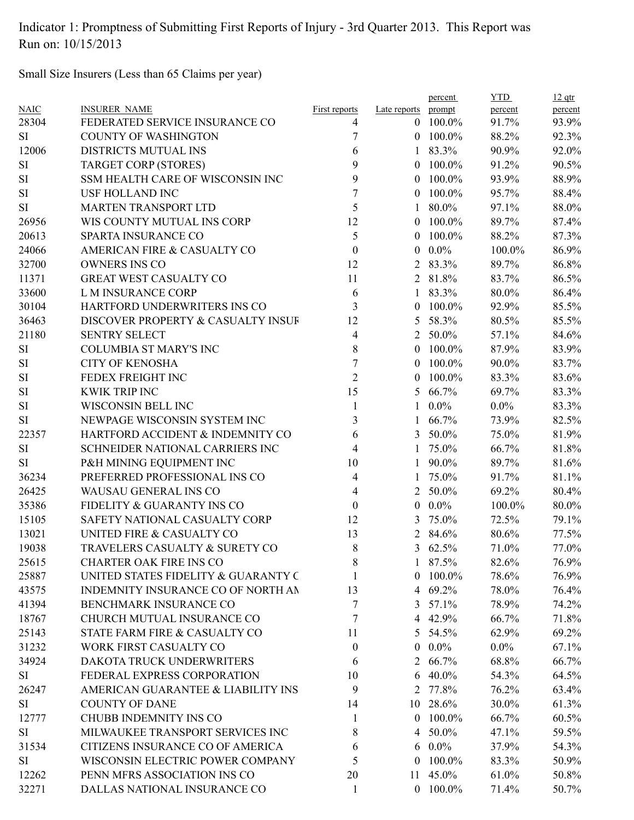Small Size Insurers (Less than 65 Claims per year)

|             |                                     |                  |                | percent    | <b>YTD</b> | $12$ qtr |
|-------------|-------------------------------------|------------------|----------------|------------|------------|----------|
| <b>NAIC</b> | <b>INSURER NAME</b>                 | First reports    | Late reports   | prompt     | percent    | percent  |
| 28304       | FEDERATED SERVICE INSURANCE CO      | 4                |                | $0$ 100.0% | 91.7%      | 93.9%    |
| SI          | <b>COUNTY OF WASHINGTON</b>         | 7                |                | $0$ 100.0% | 88.2%      | 92.3%    |
| 12006       | DISTRICTS MUTUAL INS                | 6                | $\mathbf{1}$   | 83.3%      | 90.9%      | 92.0%    |
| SI          | <b>TARGET CORP (STORES)</b>         | 9                | $\overline{0}$ | 100.0%     | 91.2%      | 90.5%    |
| SI          | SSM HEALTH CARE OF WISCONSIN INC    | 9                | $\overline{0}$ | 100.0%     | 93.9%      | 88.9%    |
| SI          | <b>USF HOLLAND INC</b>              | 7                | $\theta$       | 100.0%     | 95.7%      | 88.4%    |
| <b>SI</b>   | <b>MARTEN TRANSPORT LTD</b>         | 5                | 1              | 80.0%      | 97.1%      | 88.0%    |
| 26956       | WIS COUNTY MUTUAL INS CORP          | 12               | $\overline{0}$ | 100.0%     | 89.7%      | 87.4%    |
| 20613       | SPARTA INSURANCE CO                 | 5                | $\mathbf{0}$   | 100.0%     | 88.2%      | 87.3%    |
| 24066       | AMERICAN FIRE & CASUALTY CO         | $\boldsymbol{0}$ | $\mathbf{0}$   | $0.0\%$    | 100.0%     | 86.9%    |
| 32700       | <b>OWNERS INS CO</b>                | 12               | 2              | 83.3%      | 89.7%      | 86.8%    |
| 11371       | <b>GREAT WEST CASUALTY CO</b>       | 11               | $\overline{2}$ | 81.8%      | 83.7%      | 86.5%    |
| 33600       | L M INSURANCE CORP                  | 6                | $\mathbf{1}$   | 83.3%      | 80.0%      | 86.4%    |
| 30104       | HARTFORD UNDERWRITERS INS CO        | 3                | $\theta$       | 100.0%     | 92.9%      | 85.5%    |
| 36463       | DISCOVER PROPERTY & CASUALTY INSUF  | 12               | 5              | 58.3%      | 80.5%      | 85.5%    |
| 21180       | <b>SENTRY SELECT</b>                | 4                | $\overline{2}$ | 50.0%      | 57.1%      | 84.6%    |
| SI          | <b>COLUMBIA ST MARY'S INC</b>       | $8\,$            | $\overline{0}$ | 100.0%     | 87.9%      | 83.9%    |
| SI          | <b>CITY OF KENOSHA</b>              | 7                | $\theta$       | 100.0%     | 90.0%      | 83.7%    |
| $\rm SI$    | FEDEX FREIGHT INC                   | $\overline{2}$   | $\theta$       | 100.0%     | 83.3%      | 83.6%    |
| SI          | <b>KWIK TRIP INC</b>                | 15               | 5              | 66.7%      | 69.7%      | 83.3%    |
| SI          | WISCONSIN BELL INC                  | 1                |                | $0.0\%$    | $0.0\%$    | 83.3%    |
| <b>SI</b>   | NEWPAGE WISCONSIN SYSTEM INC        | 3                | 1              | 66.7%      | 73.9%      | 82.5%    |
| 22357       | HARTFORD ACCIDENT & INDEMNITY CO    | 6                | $\mathfrak{Z}$ | 50.0%      | 75.0%      | 81.9%    |
| <b>SI</b>   | SCHNEIDER NATIONAL CARRIERS INC     | 4                | 1              | 75.0%      | 66.7%      | 81.8%    |
| SI          | P&H MINING EQUIPMENT INC            | 10               | 1              | 90.0%      | 89.7%      | 81.6%    |
| 36234       | PREFERRED PROFESSIONAL INS CO       | 4                | 1              | 75.0%      | 91.7%      | 81.1%    |
| 26425       | WAUSAU GENERAL INS CO               | 4                | $\overline{2}$ | 50.0%      | 69.2%      | 80.4%    |
| 35386       | FIDELITY & GUARANTY INS CO          | $\mathbf{0}$     | $\overline{0}$ | $0.0\%$    | 100.0%     | 80.0%    |
| 15105       | SAFETY NATIONAL CASUALTY CORP       | 12               | 3              | 75.0%      | 72.5%      | 79.1%    |
| 13021       | UNITED FIRE & CASUALTY CO           | 13               | 2              | 84.6%      | 80.6%      | 77.5%    |
| 19038       | TRAVELERS CASUALTY & SURETY CO      | 8                | 3              | 62.5%      | 71.0%      | 77.0%    |
| 25615       | <b>CHARTER OAK FIRE INS CO</b>      | 8                |                | 1 87.5%    | 82.6%      | 76.9%    |
| 25887       | UNITED STATES FIDELITY & GUARANTY C |                  |                | $0$ 100.0% | 78.6%      | 76.9%    |
| 43575       | INDEMNITY INSURANCE CO OF NORTH AN  | 13               |                | 4 69.2%    | 78.0%      | 76.4%    |
| 41394       | BENCHMARK INSURANCE CO              | 7                | 3              | 57.1%      | 78.9%      | 74.2%    |
| 18767       | CHURCH MUTUAL INSURANCE CO          | 7                |                | 4 42.9%    | 66.7%      | 71.8%    |
| 25143       | STATE FARM FIRE & CASUALTY CO       | 11               | 5              | 54.5%      | 62.9%      | 69.2%    |
| 31232       | WORK FIRST CASUALTY CO              | $\boldsymbol{0}$ | $\theta$       | $0.0\%$    | $0.0\%$    | 67.1%    |
| 34924       | DAKOTA TRUCK UNDERWRITERS           | 6                | 2              | 66.7%      | 68.8%      | 66.7%    |
| SI          | FEDERAL EXPRESS CORPORATION         | 10               | 6              | 40.0%      | 54.3%      | 64.5%    |
| 26247       | AMERICAN GUARANTEE & LIABILITY INS  | 9                | $\overline{2}$ | 77.8%      | 76.2%      | 63.4%    |
| SI          | <b>COUNTY OF DANE</b>               | 14               | 10             | 28.6%      | 30.0%      | 61.3%    |
| 12777       | CHUBB INDEMNITY INS CO              | 1                | $\overline{0}$ | $100.0\%$  | 66.7%      | 60.5%    |
| SI          | MILWAUKEE TRANSPORT SERVICES INC    | 8                | 4              | 50.0%      | 47.1%      | 59.5%    |
| 31534       | CITIZENS INSURANCE CO OF AMERICA    | 6                |                | 6 $0.0\%$  | 37.9%      | 54.3%    |
| SI          | WISCONSIN ELECTRIC POWER COMPANY    | 5                | $\theta$       | 100.0%     | 83.3%      | 50.9%    |
| 12262       | PENN MFRS ASSOCIATION INS CO        | 20               |                | 11 45.0%   | 61.0%      | 50.8%    |
| 32271       | DALLAS NATIONAL INSURANCE CO        | 1                |                | $0$ 100.0% | 71.4%      | 50.7%    |
|             |                                     |                  |                |            |            |          |